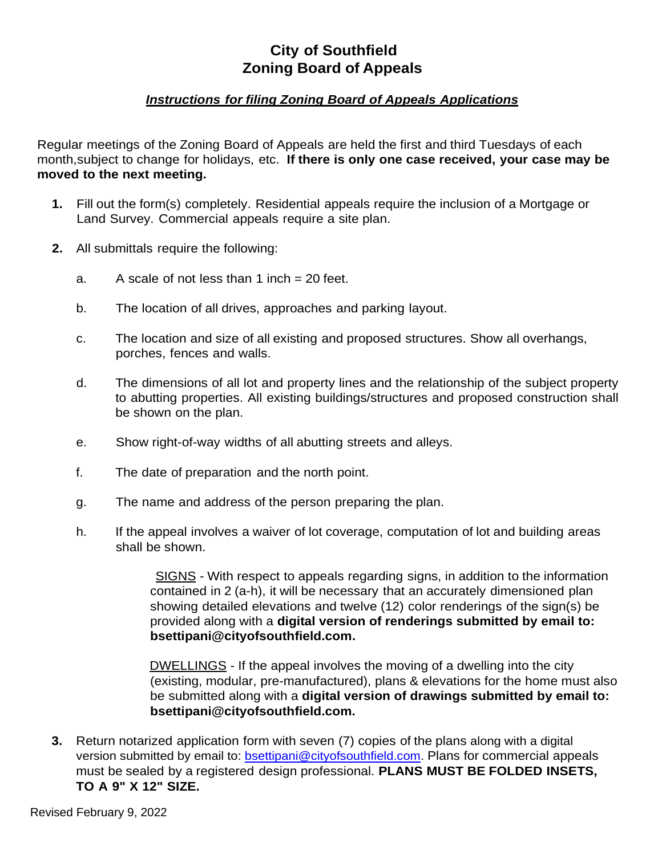## **City of Southfield Zoning Board of Appeals**

## *Instructions for filing Zoning Board of Appeals Applications*

Regular meetings of the Zoning Board of Appeals are held the first and third Tuesdays of each month,subject to change for holidays, etc. **If there is only one case received, your case may be moved to the next meeting.**

- **1.** Fill out the form(s) completely. Residential appeals require the inclusion of a Mortgage or Land Survey. Commercial appeals require a site plan.
- **2.** All submittals require the following:
	- a. A scale of not less than  $1$  inch  $= 20$  feet.
	- b. The location of all drives, approaches and parking layout.
	- c. The location and size of all existing and proposed structures. Show all overhangs, porches, fences and walls.
	- d. The dimensions of all lot and property lines and the relationship of the subject property to abutting properties. All existing buildings/structures and proposed construction shall be shown on the plan.
	- e. Show right-of-way widths of all abutting streets and alleys.
	- f. The date of preparation and the north point.
	- g. The name and address of the person preparing the plan.
	- h. If the appeal involves a waiver of lot coverage, computation of lot and building areas shall be shown.

SIGNS - With respect to appeals regarding signs, in addition to the information contained in 2 (a-h), it will be necessary that an accurately dimensioned plan showing detailed elevations and twelve (12) color renderings of the sign(s) be provided along with a **digital version of renderings submitted by email to: bsettipani@cityofsouthfield.com.**

DWELLINGS - If the appeal involves the moving of a dwelling into the city (existing, modular, pre-manufactured), plans & elevations for the home must also be submitted along with a **digital version of drawings submitted by email to: bsettipani@cityofsouthfield.com.**

**3.** Return notarized application form with seven (7) copies of the plans along with a digital version submitted by email to: [bsettipani@cityofsouthfield.com.](mailto:bsettipani@cityofsouthfield.com) Plans for commercial appeals must be sealed by a registered design professional. **PLANS MUST BE FOLDED INSETS, TO A 9" X 12" SIZE.**